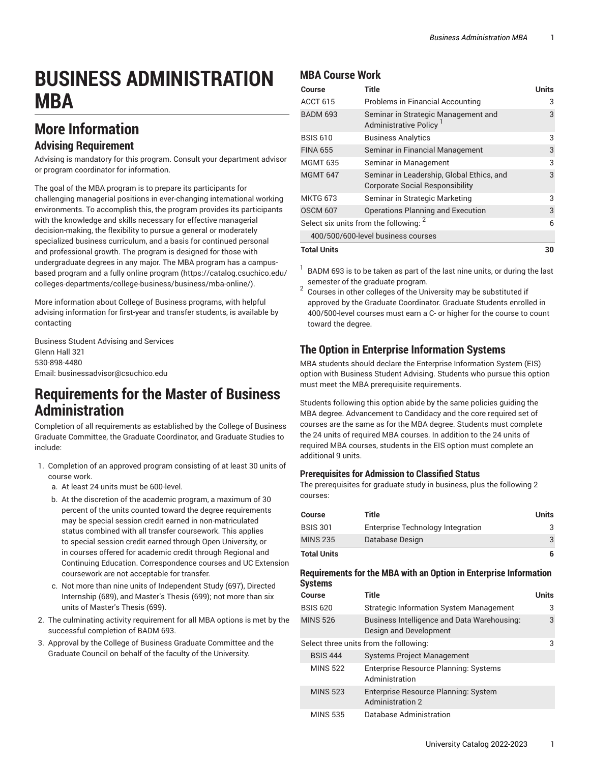# **BUSINESS ADMINISTRATION MBA**

# **More Information**

#### **Advising Requirement**

Advising is mandatory for this program. Consult your department advisor or program coordinator for information.

The goal of the MBA program is to prepare its participants for challenging managerial positions in ever-changing international working environments. To accomplish this, the program provides its participants with the knowledge and skills necessary for effective managerial decision-making, the flexibility to pursue a general or moderately specialized business curriculum, and a basis for continued personal and professional growth. The program is designed for those with undergraduate degrees in any major. The MBA program has a campusbased program and a fully online [program \(https://catalog.csuchico.edu/](https://catalog.csuchico.edu/colleges-departments/college-business/business/mba-online/) [colleges-departments/college-business/business/mba-online/](https://catalog.csuchico.edu/colleges-departments/college-business/business/mba-online/)).

More information about College of Business programs, with helpful advising information for first-year and transfer students, is available by contacting

Business Student Advising and Services Glenn Hall 321 530-898-4480 Email: [businessadvisor@csuchico.edu](mailto:businessadvisor@csuchico.edu)

### **Requirements for the Master of Business Administration**

Completion of all requirements as established by the College of Business Graduate Committee, the Graduate Coordinator, and Graduate Studies to include:

- 1. Completion of an approved program consisting of at least 30 units of course work.
	- a. At least 24 units must be 600-level.
	- b. At the discretion of the academic program, a maximum of 30 percent of the units counted toward the degree requirements may be special session credit earned in non-matriculated status combined with all transfer coursework. This applies to special session credit earned through Open University, or in courses offered for academic credit through Regional and Continuing Education. Correspondence courses and UC Extension coursework are not acceptable for transfer.
	- c. Not more than nine units of Independent Study (697), Directed Internship (689), and Master's Thesis (699); not more than six units of Master's Thesis (699).
- 2. The culminating activity requirement for all MBA options is met by the successful completion of BADM 693.
- 3. Approval by the College of Business Graduate Committee and the Graduate Council on behalf of the faculty of the University.

#### **MBA Course Work**

| Course                                            | <b>Title</b>                                                                        | <b>Units</b> |
|---------------------------------------------------|-------------------------------------------------------------------------------------|--------------|
| <b>ACCT 615</b>                                   | Problems in Financial Accounting                                                    | 3            |
| <b>BADM 693</b>                                   | Seminar in Strategic Management and<br>Administrative Policy <sup>1</sup>           | 3            |
| <b>BSIS 610</b>                                   | <b>Business Analytics</b>                                                           | 3            |
| <b>FINA 655</b>                                   | Seminar in Financial Management                                                     | 3            |
| <b>MGMT 635</b>                                   | Seminar in Management                                                               | 3            |
| <b>MGMT 647</b>                                   | Seminar in Leadership, Global Ethics, and<br><b>Corporate Social Responsibility</b> | 3            |
| <b>MKTG 673</b>                                   | Seminar in Strategic Marketing                                                      | 3            |
| <b>OSCM 607</b>                                   | Operations Planning and Execution                                                   | 3            |
| Select six units from the following: <sup>2</sup> |                                                                                     | 6            |
| 400/500/600-level business courses                |                                                                                     |              |
| <b>Total Units</b>                                |                                                                                     |              |

 $^1$  BADM 693 is to be taken as part of the last nine units, or during the last semester of the graduate program.

 $2$  Courses in other colleges of the University may be substituted if approved by the Graduate Coordinator. Graduate Students enrolled in 400/500-level courses must earn a C- or higher for the course to count toward the degree.

#### **The Option in Enterprise Information Systems**

MBA students should declare the Enterprise Information System (EIS) option with Business Student Advising. Students who pursue this option must meet the MBA prerequisite requirements.

Students following this option abide by the same policies guiding the MBA degree. Advancement to Candidacy and the core required set of courses are the same as for the MBA degree. Students must complete the 24 units of required MBA courses. In addition to the 24 units of required MBA courses, students in the EIS option must complete an additional 9 units.

#### **Prerequisites for Admission to Classified Status**

The prerequisites for graduate study in business, plus the following 2 courses:

| Course             | Title                             | <b>Units</b> |
|--------------------|-----------------------------------|--------------|
| <b>BSIS 301</b>    | Enterprise Technology Integration |              |
| <b>MINS 235</b>    | Database Design                   |              |
| <b>Total Units</b> |                                   |              |

#### **Requirements for the MBA with an Option in Enterprise Information Systems**

| Course          | Title                                                                 | <b>Units</b> |
|-----------------|-----------------------------------------------------------------------|--------------|
| <b>BSIS 620</b> | <b>Strategic Information System Management</b>                        | 3            |
| <b>MINS 526</b> | Business Intelligence and Data Warehousing:<br>Design and Development | 3            |
|                 | Select three units from the following:                                | 3            |
| <b>BSIS 444</b> | <b>Systems Project Management</b>                                     |              |
| <b>MINS 522</b> | <b>Enterprise Resource Planning: Systems</b><br>Administration        |              |
| <b>MINS 523</b> | Enterprise Resource Planning: System<br><b>Administration 2</b>       |              |
| <b>MINS 535</b> | Database Administration                                               |              |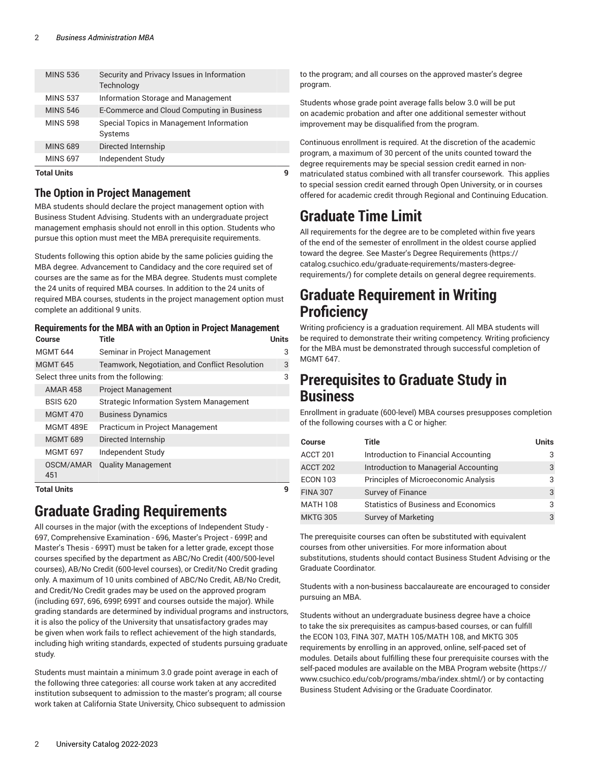| <b>Total Units</b> |                                                          |  |
|--------------------|----------------------------------------------------------|--|
| <b>MINS 697</b>    | Independent Study                                        |  |
| <b>MINS 689</b>    | Directed Internship                                      |  |
| <b>MINS 598</b>    | Special Topics in Management Information<br>Systems      |  |
| <b>MINS 546</b>    | E-Commerce and Cloud Computing in Business               |  |
| <b>MINS 537</b>    | Information Storage and Management                       |  |
| <b>MINS 536</b>    | Security and Privacy Issues in Information<br>Technology |  |
|                    |                                                          |  |

#### **The Option in Project Management**

MBA students should declare the project management option with Business Student Advising. Students with an undergraduate project management emphasis should not enroll in this option. Students who pursue this option must meet the MBA prerequisite requirements.

Students following this option abide by the same policies guiding the MBA degree. Advancement to Candidacy and the core required set of courses are the same as for the MBA degree. Students must complete the 24 units of required MBA courses. In addition to the 24 units of required MBA courses, students in the project management option must complete an additional 9 units.

#### **Requirements for the MBA with an Option in Project Management**

| Course                                 | Title                                          | Units |
|----------------------------------------|------------------------------------------------|-------|
| <b>MGMT 644</b>                        | Seminar in Project Management                  | 3     |
| <b>MGMT 645</b>                        | Teamwork, Negotiation, and Conflict Resolution | 3     |
| Select three units from the following: |                                                |       |
| <b>AMAR 458</b>                        | <b>Project Management</b>                      |       |
| <b>BSIS 620</b>                        | <b>Strategic Information System Management</b> |       |
| <b>MGMT 470</b>                        | <b>Business Dynamics</b>                       |       |
| <b>MGMT 489E</b>                       | Practicum in Project Management                |       |
| <b>MGMT 689</b>                        | Directed Internship                            |       |
| <b>MGMT 697</b>                        | Independent Study                              |       |
| OSCM/AMAR<br>451                       | <b>Quality Management</b>                      |       |

**Total Units 9**

# **Graduate Grading Requirements**

All courses in the major (with the exceptions of Independent Study - 697, Comprehensive Examination - 696, Master's Project - 699P, and Master's Thesis - 699T) must be taken for a letter grade, except those courses specified by the department as ABC/No Credit (400/500-level courses), AB/No Credit (600-level courses), or Credit/No Credit grading only. A maximum of 10 units combined of ABC/No Credit, AB/No Credit, and Credit/No Credit grades may be used on the approved program (including 697, 696, 699P, 699T and courses outside the major). While grading standards are determined by individual programs and instructors, it is also the policy of the University that unsatisfactory grades may be given when work fails to reflect achievement of the high standards, including high writing standards, expected of students pursuing graduate study.

Students must maintain a minimum 3.0 grade point average in each of the following three categories: all course work taken at any accredited institution subsequent to admission to the master's program; all course work taken at California State University, Chico subsequent to admission

to the program; and all courses on the approved master's degree program.

Students whose grade point average falls below 3.0 will be put on academic probation and after one additional semester without improvement may be disqualified from the program.

Continuous enrollment is required. At the discretion of the academic program, a maximum of 30 percent of the units counted toward the degree requirements may be special session credit earned in nonmatriculated status combined with all transfer coursework. This applies to special session credit earned through Open University, or in courses offered for academic credit through Regional and Continuing Education.

# **Graduate Time Limit**

All requirements for the degree are to be completed within five years of the end of the semester of enrollment in the oldest course applied toward the degree. See Master's Degree [Requirements](https://catalog.csuchico.edu/graduate-requirements/masters-degree-requirements/) ([https://](https://catalog.csuchico.edu/graduate-requirements/masters-degree-requirements/) [catalog.csuchico.edu/graduate-requirements/masters-degree](https://catalog.csuchico.edu/graduate-requirements/masters-degree-requirements/)[requirements/](https://catalog.csuchico.edu/graduate-requirements/masters-degree-requirements/)) for complete details on general degree requirements.

# **Graduate Requirement in Writing Proficiency**

Writing proficiency is a graduation requirement. All MBA students will be required to demonstrate their writing competency. Writing proficiency for the MBA must be demonstrated through successful completion of MGMT 647.

### **Prerequisites to Graduate Study in Business**

Enrollment in graduate (600-level) MBA courses presupposes completion of the following courses with a C or higher:

| <b>Course</b>   | Title                                       | <b>Units</b> |
|-----------------|---------------------------------------------|--------------|
| ACCT 201        | Introduction to Financial Accounting        | 3            |
| ACCT 202        | Introduction to Managerial Accounting       | 3            |
| <b>ECON 103</b> | Principles of Microeconomic Analysis        | 3            |
| <b>FINA 307</b> | Survey of Finance                           | 3            |
| <b>MATH 108</b> | <b>Statistics of Business and Economics</b> | 3            |
| <b>MKTG 305</b> | Survey of Marketing                         | 3            |

The prerequisite courses can often be substituted with equivalent courses from other universities. For more information about substitutions, students should contact Business Student Advising or the Graduate Coordinator.

Students with a non-business baccalaureate are encouraged to consider pursuing an MBA.

Students without an undergraduate business degree have a choice to take the six prerequisites as campus-based courses, or can fulfill the ECON 103, FINA 307, MATH 105/MATH 108, and MKTG 305 requirements by enrolling in an approved, online, self-paced set of modules. Details about fulfilling these four prerequisite courses with the self-paced modules are available on the MBA [Program](https://www.csuchico.edu/cob/programs/mba/index.shtml/) website [\(https://](https://www.csuchico.edu/cob/programs/mba/index.shtml/) [www.csuchico.edu/cob/programs/mba/index.shtml/\)](https://www.csuchico.edu/cob/programs/mba/index.shtml/) or by contacting Business Student Advising or the Graduate Coordinator.